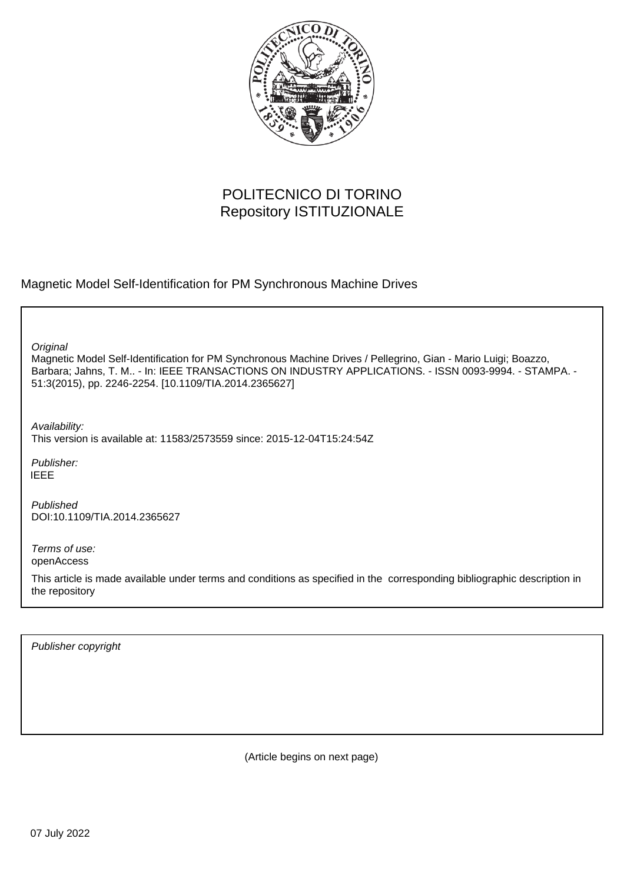

# POLITECNICO DI TORINO Repository ISTITUZIONALE

Magnetic Model Self-Identification for PM Synchronous Machine Drives

**Original** 

Magnetic Model Self-Identification for PM Synchronous Machine Drives / Pellegrino, Gian - Mario Luigi; Boazzo, Barbara; Jahns, T. M.. - In: IEEE TRANSACTIONS ON INDUSTRY APPLICATIONS. - ISSN 0093-9994. - STAMPA. - 51:3(2015), pp. 2246-2254. [10.1109/TIA.2014.2365627]

Availability: This version is available at: 11583/2573559 since: 2015-12-04T15:24:54Z

Publisher: IEEE

Published DOI:10.1109/TIA.2014.2365627

Terms of use: openAccess

This article is made available under terms and conditions as specified in the corresponding bibliographic description in the repository

Publisher copyright

(Article begins on next page)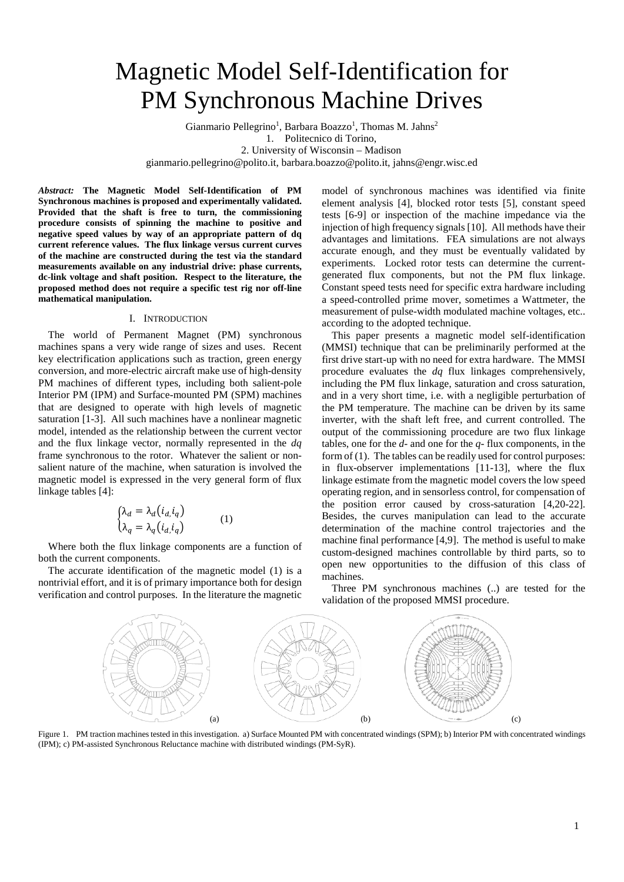# Magnetic Model Self-Identification for PM Synchronous Machine Drives

Gianmario Pellegrino<sup>1</sup>, Barbara Boazzo<sup>1</sup>, Thomas M. Jahns<sup>2</sup> 1. Politecnico di Torino, 2. University of Wisconsin – Madison gianmario.pellegrino@polito.it, barbara.boazzo@polito.it, jahns@engr.wisc.ed

*Abstract:* **The Magnetic Model Self-Identification of PM Synchronous machines is proposed and experimentally validated. Provided that the shaft is free to turn, the commissioning procedure consists of spinning the machine to positive and negative speed values by way of an appropriate pattern of dq current reference values. The flux linkage versus current curves of the machine are constructed during the test via the standard measurements available on any industrial drive: phase currents, dc-link voltage and shaft position. Respect to the literature, the proposed method does not require a specific test rig nor off-line mathematical manipulation.**

#### I. INTRODUCTION

The world of Permanent Magnet (PM) synchronous machines spans a very wide range of sizes and uses. Recent key electrification applications such as traction, green energy conversion, and more-electric aircraft make use of high-density PM machines of different types, including both salient-pole Interior PM (IPM) and Surface-mounted PM (SPM) machines that are designed to operate with high levels of magnetic saturation [1-3]. All such machines have a nonlinear magnetic model, intended as the relationship between the current vector and the flux linkage vector, normally represented in the *dq* frame synchronous to the rotor. Whatever the salient or nonsalient nature of the machine, when saturation is involved the magnetic model is expressed in the very general form of flux linkage tables [4]:

$$
\begin{cases} \lambda_d = \lambda_d (i_d, i_q) \\ \lambda_q = \lambda_q (i_d, i_q) \end{cases} (1)
$$

Where both the flux linkage components are a function of both the current components.

The accurate identification of the magnetic model (1) is a nontrivial effort, and it is of primary importance both for design verification and control purposes. In the literature the magnetic

model of synchronous machines was identified via finite element analysis [4], blocked rotor tests [5], constant speed tests [6-9] or inspection of the machine impedance via the injection of high frequency signals [10]. All methods have their advantages and limitations. FEA simulations are not always accurate enough, and they must be eventually validated by experiments. Locked rotor tests can determine the currentgenerated flux components, but not the PM flux linkage. Constant speed tests need for specific extra hardware including a speed-controlled prime mover, sometimes a Wattmeter, the measurement of pulse-width modulated machine voltages, etc.. according to the adopted technique.

This paper presents a magnetic model self-identification (MMSI) technique that can be preliminarily performed at the first drive start-up with no need for extra hardware. The MMSI procedure evaluates the *dq* flux linkages comprehensively, including the PM flux linkage, saturation and cross saturation, and in a very short time, i.e. with a negligible perturbation of the PM temperature. The machine can be driven by its same inverter, with the shaft left free, and current controlled. The output of the commissioning procedure are two flux linkage tables, one for the *d-* and one for the *q-* flux components, in the form of (1). The tables can be readily used for control purposes: in flux-observer implementations [11-13], where the flux linkage estimate from the magnetic model covers the low speed operating region, and in sensorless control, for compensation of the position error caused by cross-saturation [4,20-22]. Besides, the curves manipulation can lead to the accurate determination of the machine control trajectories and the machine final performance [4,9]. The method is useful to make custom-designed machines controllable by third parts, so to open new opportunities to the diffusion of this class of machines.

Three PM synchronous machines (..) are tested for the validation of the proposed MMSI procedure.



Figure 1. PM traction machines tested in thisinvestigation. a) Surface Mounted PM with concentrated windings (SPM); b) Interior PM with concentrated windings (IPM); c) PM-assisted Synchronous Reluctance machine with distributed windings (PM-SyR).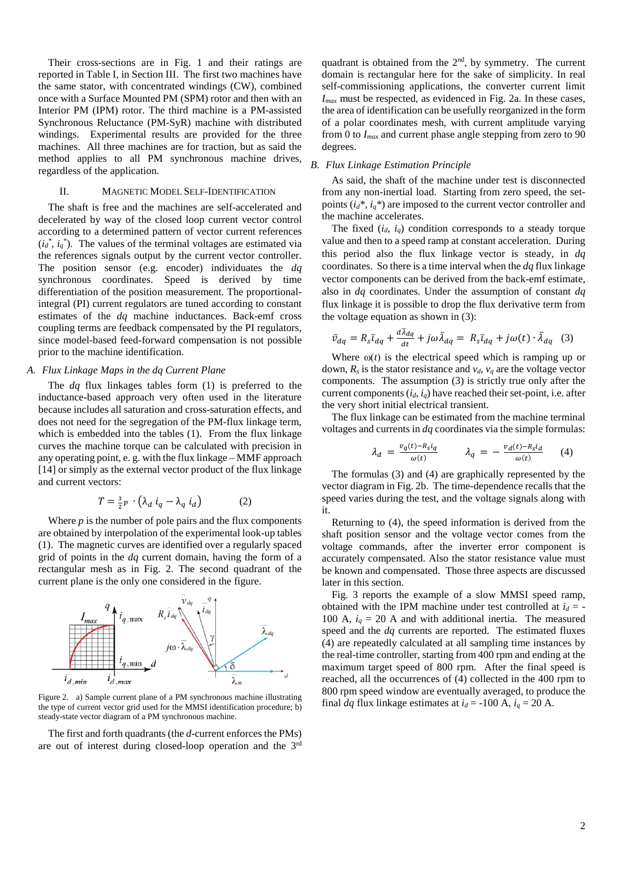Their cross-sections are in Fig. 1 and their ratings are reported in Table I, in Section III. The first two machines have the same stator, with concentrated windings (CW), combined once with a Surface Mounted PM (SPM) rotor and then with an Interior PM (IPM) rotor. The third machine is a PM-assisted Synchronous Reluctance (PM-SyR) machine with distributed windings. Experimental results are provided for the three machines. All three machines are for traction, but as said the method applies to all PM synchronous machine drives, regardless of the application.

# II. MAGNETIC MODEL SELF-IDENTIFICATION

The shaft is free and the machines are self-accelerated and decelerated by way of the closed loop current vector control according to a determined pattern of vector current references  $(i_d^*, i_q^*)$ . The values of the terminal voltages are estimated via the references signals output by the current vector controller. The position sensor (e.g. encoder) individuates the *dq* synchronous coordinates. Speed is derived by time differentiation of the position measurement. The proportionalintegral (PI) current regulators are tuned according to constant estimates of the *dq* machine inductances. Back-emf cross coupling terms are feedback compensated by the PI regulators, since model-based feed-forward compensation is not possible prior to the machine identification.

# *A. Flux Linkage Maps in the dq Current Plane*

The *dq* flux linkages tables form (1) is preferred to the inductance-based approach very often used in the literature because includes all saturation and cross-saturation effects, and does not need for the segregation of the PM-flux linkage term, which is embedded into the tables (1). From the flux linkage curves the machine torque can be calculated with precision in any operating point, e. g. with the flux linkage – MMF approach [14] or simply as the external vector product of the flux linkage and current vectors:

$$
T = \frac{3}{2}p \cdot \left(\lambda_d \ i_q - \lambda_q \ i_d\right) \tag{2}
$$

Where *p* is the number of pole pairs and the flux components are obtained by interpolation of the experimental look-up tables (1). The magnetic curves are identified over a regularly spaced grid of points in the *dq* current domain, having the form of a rectangular mesh as in Fig. 2. The second quadrant of the current plane is the only one considered in the figure.



Figure 2. a) Sample current plane of a PM synchronous machine illustrating the type of current vector grid used for the MMSI identification procedure; b) steady-state vector diagram of a PM synchronous machine.

The first and forth quadrants (the *d*-current enforces the PMs) are out of interest during closed-loop operation and the 3rd quadrant is obtained from the 2nd, by symmetry. The current domain is rectangular here for the sake of simplicity. In real self-commissioning applications, the converter current limit *Imax* must be respected, as evidenced in Fig. 2a. In these cases, the area of identification can be usefully reorganized in the form of a polar coordinates mesh, with current amplitude varying from 0 to *Imax* and current phase angle stepping from zero to 90 degrees.

# *B. Flux Linkage Estimation Principle*

As said, the shaft of the machine under test is disconnected from any non-inertial load. Starting from zero speed, the setpoints  $(i_d^*, i_q^*)$  are imposed to the current vector controller and the machine accelerates.

The fixed  $(i_d, i_q)$  condition corresponds to a steady torque value and then to a speed ramp at constant acceleration. During this period also the flux linkage vector is steady, in *dq* coordinates. So there is a time interval when the *dq* flux linkage vector components can be derived from the back-emf estimate, also in *dq* coordinates. Under the assumption of constant *dq* flux linkage it is possible to drop the flux derivative term from the voltage equation as shown in (3):

$$
\bar{v}_{dq} = R_s \bar{t}_{dq} + \frac{d\lambda_{dq}}{dt} + j\omega \bar{\lambda}_{dq} = R_s \bar{t}_{dq} + j\omega(t) \cdot \bar{\lambda}_{dq} \quad (3)
$$

Where  $\omega(t)$  is the electrical speed which is ramping up or down,  $R_s$  is the stator resistance and  $v_d$ ,  $v_q$  are the voltage vector components. The assumption (3) is strictly true only after the current components  $(i_d, i_q)$  have reached their set-point, i.e. after the very short initial electrical transient.

The flux linkage can be estimated from the machine terminal voltages and currents in *dq* coordinates via the simple formulas:

$$
\lambda_d = \frac{v_q(t) - R_s i_q}{\omega(t)} \qquad \lambda_q = -\frac{v_d(t) - R_s i_d}{\omega(t)} \qquad (4)
$$

The formulas (3) and (4) are graphically represented by the vector diagram in Fig. 2b. The time-dependence recalls that the speed varies during the test, and the voltage signals along with it.

Returning to (4), the speed information is derived from the shaft position sensor and the voltage vector comes from the voltage commands, after the inverter error component is accurately compensated. Also the stator resistance value must be known and compensated. Those three aspects are discussed later in this section.

Fig. 3 reports the example of a slow MMSI speed ramp, obtained with the IPM machine under test controlled at  $i_d = -$ 100 A,  $i_q = 20$  A and with additional inertia. The measured speed and the *dq* currents are reported. The estimated fluxes (4) are repeatedly calculated at all sampling time instances by the real-time controller, starting from 400 rpm and ending at the maximum target speed of 800 rpm. After the final speed is reached, all the occurrences of (4) collected in the 400 rpm to 800 rpm speed window are eventually averaged, to produce the final *dq* flux linkage estimates at  $i_d$  = -100 A,  $i_q$  = 20 A.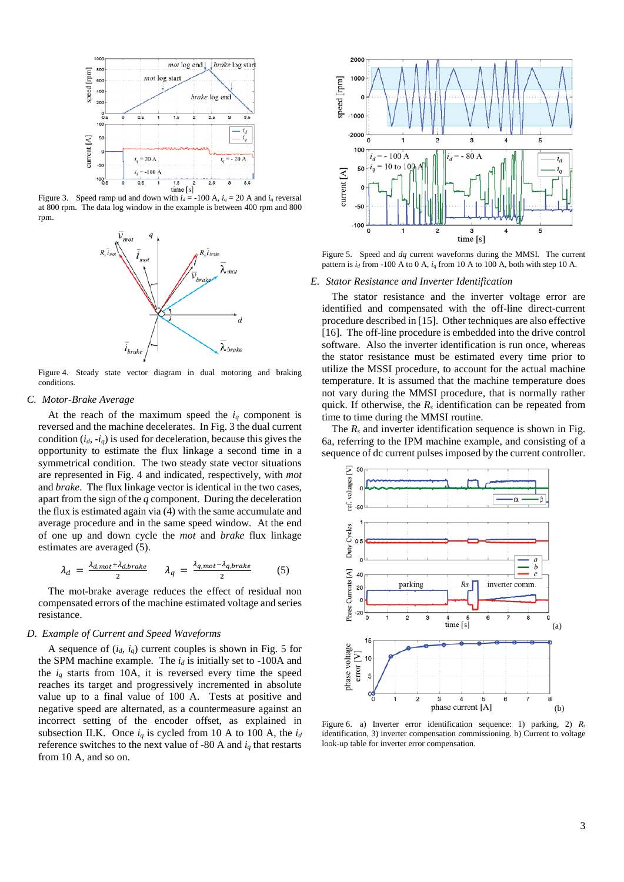

Figure 3. Speed ramp ud and down with  $i_d$  = -100 A,  $i_q$  = 20 A and  $i_q$  reversal at 800 rpm. The data log window in the example is between 400 rpm and 800 rpm.



Figure 4. Steady state vector diagram in dual motoring and braking conditions.

#### *C. Motor-Brake Average*

At the reach of the maximum speed the  $i_q$  component is reversed and the machine decelerates. In Fig. 3 the dual current condition  $(i_d, -i_q)$  is used for deceleration, because this gives the opportunity to estimate the flux linkage a second time in a symmetrical condition. The two steady state vector situations are represented in Fig. 4 and indicated, respectively, with *mot* and *brake*. The flux linkage vector is identical in the two cases, apart from the sign of the *q* component. During the deceleration the flux is estimated again via (4) with the same accumulate and average procedure and in the same speed window. At the end of one up and down cycle the *mot* and *brake* flux linkage estimates are averaged (5).

$$
\lambda_d = \frac{\lambda_{d,mot} + \lambda_{d,brake}}{2} \qquad \lambda_q = \frac{\lambda_{q,mot} - \lambda_{q,brake}}{2} \tag{5}
$$

The mot-brake average reduces the effect of residual non compensated errors of the machine estimated voltage and series resistance.

#### *D. Example of Current and Speed Waveforms*

A sequence of (*id*, *iq*) current couples is shown in Fig. 5 for the SPM machine example. The  $i_d$  is initially set to -100A and the  $i_q$  starts from 10A, it is reversed every time the speed reaches its target and progressively incremented in absolute value up to a final value of 100 A. Tests at positive and negative speed are alternated, as a countermeasure against an incorrect setting of the encoder offset, as explained in subsection II.K. Once  $i_q$  is cycled from 10 A to 100 A, the  $i_d$ reference switches to the next value of -80 A and  $i_q$  that restarts from 10 A, and so on.



Figure 5. Speed and *dq* current waveforms during the MMSI. The current pattern is  $i_d$  from -100 A to 0 A,  $i_q$  from 10 A to 100 A, both with step 10 A.

#### *E. Stator Resistance and Inverter Identification*

The stator resistance and the inverter voltage error are identified and compensated with the off-line direct-current procedure described in [15]. Other techniques are also effective [16]. The off-line procedure is embedded into the drive control software. Also the inverter identification is run once, whereas the stator resistance must be estimated every time prior to utilize the MSSI procedure, to account for the actual machine temperature. It is assumed that the machine temperature does not vary during the MMSI procedure, that is normally rather quick. If otherwise, the  $R_s$  identification can be repeated from time to time during the MMSI routine.

The  $R_s$  and inverter identification sequence is shown in Fig. 6a, referring to the IPM machine example, and consisting of a sequence of dc current pulses imposed by the current controller.



Figure 6. a) Inverter error identification sequence: 1) parking, 2) *Rs* identification, 3) inverter compensation commissioning. b) Current to voltage look-up table for inverter error compensation.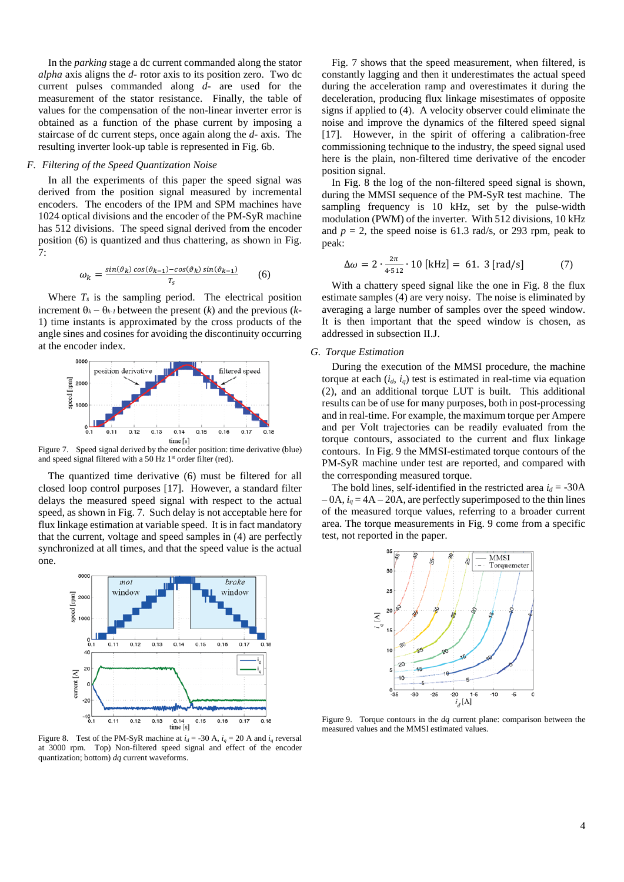In the *parking* stage a dc current commanded along the stator *alpha* axis aligns the *d-* rotor axis to its position zero. Two dc current pulses commanded along *d-* are used for the measurement of the stator resistance. Finally, the table of values for the compensation of the non-linear inverter error is obtained as a function of the phase current by imposing a staircase of dc current steps, once again along the *d-* axis. The resulting inverter look-up table is represented in Fig. 6b.

# *F. Filtering of the Speed Quantization Noise*

In all the experiments of this paper the speed signal was derived from the position signal measured by incremental encoders. The encoders of the IPM and SPM machines have 1024 optical divisions and the encoder of the PM-SyR machine has 512 divisions. The speed signal derived from the encoder position (6) is quantized and thus chattering, as shown in Fig. 7:

$$
\omega_k = \frac{\sin(\vartheta_k)\cos(\vartheta_{k-1}) - \cos(\vartheta_k)\sin(\vartheta_{k-1})}{T_s} \tag{6}
$$

Where  $T_s$  is the sampling period. The electrical position increment  $\theta_k - \theta_{k-1}$  between the present (*k*) and the previous (*k*-1) time instants is approximated by the cross products of the angle sines and cosines for avoiding the discontinuity occurring at the encoder index.



Figure 7. Speed signal derived by the encoder position: time derivative (blue) and speed signal filtered with a 50 Hz  $1<sup>st</sup>$  order filter (red).

The quantized time derivative (6) must be filtered for all closed loop control purposes [17]. However, a standard filter delays the measured speed signal with respect to the actual speed, as shown in Fig. 7. Such delay is not acceptable here for flux linkage estimation at variable speed. It is in fact mandatory that the current, voltage and speed samples in (4) are perfectly synchronized at all times, and that the speed value is the actual one.



Figure 8. Test of the PM-SyR machine at  $i_d$  = -30 A,  $i_q$  = 20 A and  $i_q$  reversal at 3000 rpm. Top) Non-filtered speed signal and effect of the encoder quantization; bottom) *dq* current waveforms.

Fig. 7 shows that the speed measurement, when filtered, is constantly lagging and then it underestimates the actual speed during the acceleration ramp and overestimates it during the deceleration, producing flux linkage misestimates of opposite signs if applied to (4). A velocity observer could eliminate the noise and improve the dynamics of the filtered speed signal [17]. However, in the spirit of offering a calibration-free commissioning technique to the industry, the speed signal used here is the plain, non-filtered time derivative of the encoder position signal.

In Fig. 8 the log of the non-filtered speed signal is shown, during the MMSI sequence of the PM-SyR test machine. The sampling frequency is 10 kHz, set by the pulse-width modulation (PWM) of the inverter. With 512 divisions, 10 kHz and  $p = 2$ , the speed noise is 61.3 rad/s, or 293 rpm, peak to peak:

$$
\Delta \omega = 2 \cdot \frac{2\pi}{4.512} \cdot 10 \text{ [kHz]} = 61.3 \text{ [rad/s]} \tag{7}
$$

With a chattery speed signal like the one in Fig. 8 the flux estimate samples (4) are very noisy. The noise is eliminated by averaging a large number of samples over the speed window. It is then important that the speed window is chosen, as addressed in subsection II.J.

## *G. Torque Estimation*

During the execution of the MMSI procedure, the machine torque at each  $(i_d, i_q)$  test is estimated in real-time via equation (2), and an additional torque LUT is built. This additional results can be of use for many purposes, both in post-processing and in real-time. For example, the maximum torque per Ampere and per Volt trajectories can be readily evaluated from the torque contours, associated to the current and flux linkage contours. In Fig. 9 the MMSI-estimated torque contours of the PM-SyR machine under test are reported, and compared with the corresponding measured torque.

The bold lines, self-identified in the restricted area  $i_d$  = -30A  $-0A$ ,  $i_q = 4A - 20A$ , are perfectly superimposed to the thin lines of the measured torque values, referring to a broader current area. The torque measurements in Fig. 9 come from a specific test, not reported in the paper.



Figure 9. Torque contours in the *dq* current plane: comparison between the measured values and the MMSI estimated values.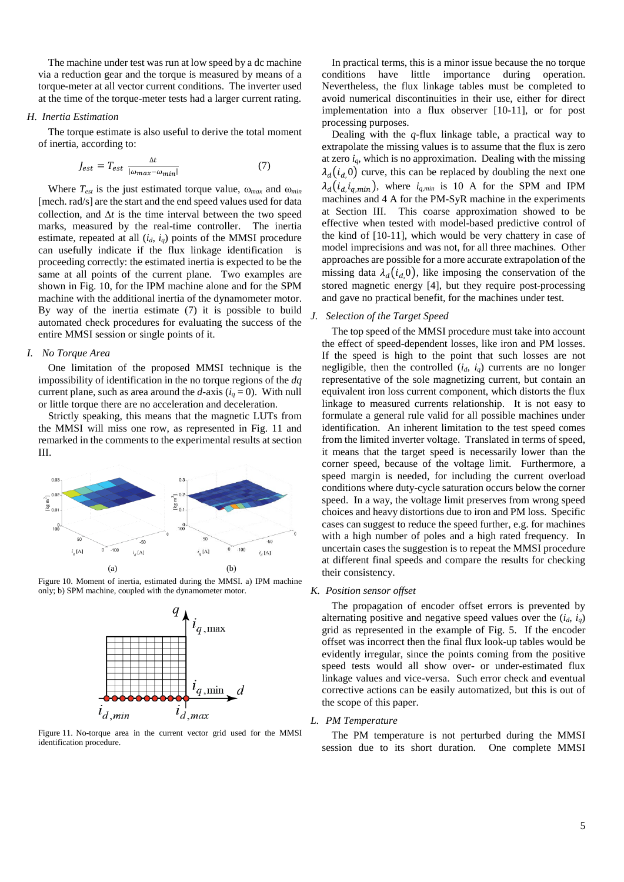The machine under test was run at low speed by a dc machine via a reduction gear and the torque is measured by means of a torque-meter at all vector current conditions. The inverter used at the time of the torque-meter tests had a larger current rating.

#### *H. Inertia Estimation*

The torque estimate is also useful to derive the total moment of inertia, according to:

$$
J_{est} = T_{est} \frac{\Delta t}{|\omega_{max} - \omega_{min}|}
$$
 (7)

Where *Test* is the just estimated torque value, ω*max* and ω*min* [mech. rad/s] are the start and the end speed values used for data collection, and ∆*t* is the time interval between the two speed marks, measured by the real-time controller. The inertia estimate, repeated at all  $(i_d, i_q)$  points of the MMSI procedure can usefully indicate if the flux linkage identification is proceeding correctly: the estimated inertia is expected to be the same at all points of the current plane. Two examples are shown in Fig. 10, for the IPM machine alone and for the SPM machine with the additional inertia of the dynamometer motor. By way of the inertia estimate (7) it is possible to build automated check procedures for evaluating the success of the entire MMSI session or single points of it.

## *I. No Torque Area*

One limitation of the proposed MMSI technique is the impossibility of identification in the no torque regions of the *dq* current plane, such as area around the *d*-axis  $(i_q = 0)$ . With null or little torque there are no acceleration and deceleration.

Strictly speaking, this means that the magnetic LUTs from the MMSI will miss one row, as represented in Fig. 11 and remarked in the comments to the experimental results at section III.



Figure 10. Moment of inertia, estimated during the MMSI. a) IPM machine only; b) SPM machine, coupled with the dynamometer motor.



Figure 11. No-torque area in the current vector grid used for the MMSI identification procedure.

In practical terms, this is a minor issue because the no torque conditions have little importance during operation. Nevertheless, the flux linkage tables must be completed to avoid numerical discontinuities in their use, either for direct implementation into a flux observer [10-11], or for post processing purposes.

Dealing with the *q-*flux linkage table, a practical way to extrapolate the missing values is to assume that the flux is zero at zero *iq*, which is no approximation. Dealing with the missing  $\lambda_d(i_d,0)$  curve, this can be replaced by doubling the next one  $\lambda_d(i_d, i_{q,min})$ , where  $i_{q,min}$  is 10 A for the SPM and IPM machines and 4 A for the PM-SyR machine in the experiments at Section III. This coarse approximation showed to be effective when tested with model-based predictive control of the kind of [10-11], which would be very chattery in case of model imprecisions and was not, for all three machines. Other approaches are possible for a more accurate extrapolation of the missing data  $\lambda_d(i_d, 0)$ , like imposing the conservation of the stored magnetic energy [4], but they require post-processing and gave no practical benefit, for the machines under test.

# *J. Selection of the Target Speed*

The top speed of the MMSI procedure must take into account the effect of speed-dependent losses, like iron and PM losses. If the speed is high to the point that such losses are not negligible, then the controlled  $(i_d, i_q)$  currents are no longer representative of the sole magnetizing current, but contain an equivalent iron loss current component, which distorts the flux linkage to measured currents relationship. It is not easy to formulate a general rule valid for all possible machines under identification. An inherent limitation to the test speed comes from the limited inverter voltage. Translated in terms of speed, it means that the target speed is necessarily lower than the corner speed, because of the voltage limit. Furthermore, a speed margin is needed, for including the current overload conditions where duty-cycle saturation occurs below the corner speed. In a way, the voltage limit preserves from wrong speed choices and heavy distortions due to iron and PM loss. Specific cases can suggest to reduce the speed further, e.g. for machines with a high number of poles and a high rated frequency. In uncertain cases the suggestion is to repeat the MMSI procedure at different final speeds and compare the results for checking their consistency.

#### *K. Position sensor offset*

The propagation of encoder offset errors is prevented by alternating positive and negative speed values over the  $(i_d, i_q)$ grid as represented in the example of Fig. 5. If the encoder offset was incorrect then the final flux look-up tables would be evidently irregular, since the points coming from the positive speed tests would all show over- or under-estimated flux linkage values and vice-versa. Such error check and eventual corrective actions can be easily automatized, but this is out of the scope of this paper.

# *L. PM Temperature*

The PM temperature is not perturbed during the MMSI session due to its short duration. One complete MMSI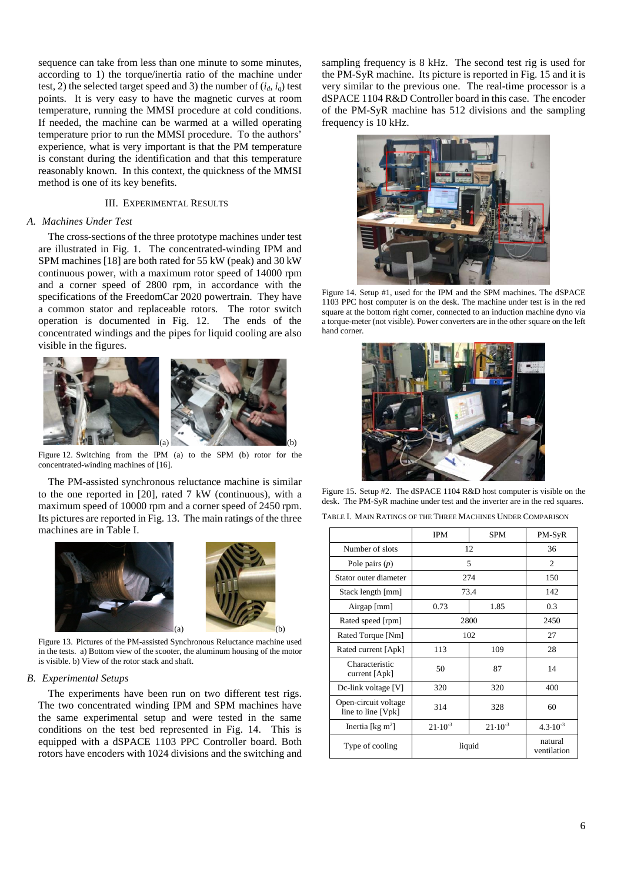sequence can take from less than one minute to some minutes, according to 1) the torque/inertia ratio of the machine under test, 2) the selected target speed and 3) the number of  $(i_d, i_q)$  test points. It is very easy to have the magnetic curves at room temperature, running the MMSI procedure at cold conditions. If needed, the machine can be warmed at a willed operating temperature prior to run the MMSI procedure. To the authors' experience, what is very important is that the PM temperature is constant during the identification and that this temperature reasonably known. In this context, the quickness of the MMSI method is one of its key benefits.

# III. EXPERIMENTAL RESULTS

# *A. Machines Under Test*

The cross-sections of the three prototype machines under test are illustrated in Fig. 1. The concentrated-winding IPM and SPM machines [18] are both rated for 55 kW (peak) and 30 kW continuous power, with a maximum rotor speed of 14000 rpm and a corner speed of 2800 rpm, in accordance with the specifications of the FreedomCar 2020 powertrain. They have a common stator and replaceable rotors. The rotor switch operation is documented in Fig. 12. The ends of the concentrated windings and the pipes for liquid cooling are also visible in the figures.



Figure 12. Switching from the IPM (a) to the SPM (b) rotor for the concentrated-winding machines of [16].

The PM-assisted synchronous reluctance machine is similar to the one reported in [20], rated 7 kW (continuous), with a maximum speed of 10000 rpm and a corner speed of 2450 rpm. Its pictures are reported in Fig. 13. The main ratings of the three machines are in Table I.





Figure 13. Pictures of the PM-assisted Synchronous Reluctance machine used in the tests. a) Bottom view of the scooter, the aluminum housing of the motor is visible. b) View of the rotor stack and shaft.

#### *B. Experimental Setups*

The experiments have been run on two different test rigs. The two concentrated winding IPM and SPM machines have the same experimental setup and were tested in the same conditions on the test bed represented in Fig. 14. This is equipped with a dSPACE 1103 PPC Controller board. Both rotors have encoders with 1024 divisions and the switching and

sampling frequency is 8 kHz. The second test rig is used for the PM-SyR machine. Its picture is reported in Fig. 15 and it is very similar to the previous one. The real-time processor is a dSPACE 1104 R&D Controller board in this case. The encoder of the PM-SyR machine has 512 divisions and the sampling frequency is 10 kHz.



Figure 14. Setup #1, used for the IPM and the SPM machines. The dSPACE 1103 PPC host computer is on the desk. The machine under test is in the red square at the bottom right corner, connected to an induction machine dyno via a torque-meter (not visible). Power converters are in the other square on the left hand corner.



Figure 15. Setup #2. The dSPACE 1104 R&D host computer is visible on the desk. The PM-SyR machine under test and the inverter are in the red squares. TABLE I. MAIN RATINGS OF THE THREE MACHINES UNDER COMPARISON

|                                            | <b>IPM</b>         | <b>SPM</b>         | PM-SyR                 |
|--------------------------------------------|--------------------|--------------------|------------------------|
| Number of slots                            | 12                 |                    | 36                     |
| Pole pairs $(p)$                           | 5                  |                    | 2                      |
| Stator outer diameter                      | 274                |                    | 150                    |
| Stack length [mm]                          | 73.4               |                    | 142                    |
| Airgap [mm]                                | 0.73               | 1.85               | 0.3                    |
| Rated speed [rpm]                          | 2800               |                    | 2450                   |
| Rated Torque [Nm]                          | 102                |                    | 27                     |
| Rated current [Apk]                        | 113                | 109                | 28                     |
| Characteristic<br>current [Apk]            | 50                 | 87                 | 14                     |
| Dc-link voltage [V]                        | 320                | 320                | 400                    |
| Open-circuit voltage<br>line to line [Vpk] | 314                | 328                | 60                     |
| Inertia [ $kg \, m^2$ ]                    | $21 \cdot 10^{-3}$ | $21 \cdot 10^{-3}$ | $4.3 \cdot 10^{-3}$    |
| Type of cooling                            | liquid             |                    | natural<br>ventilation |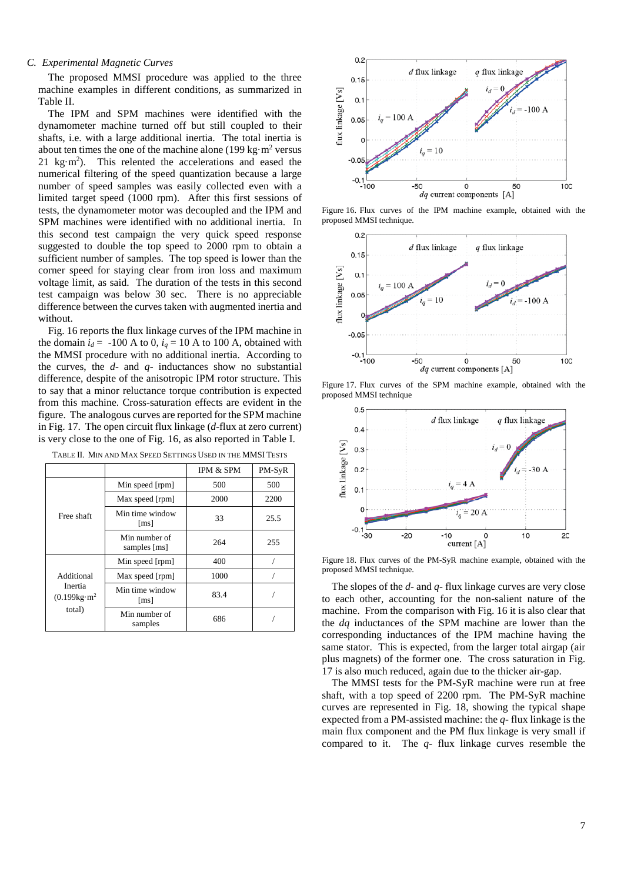# *C. Experimental Magnetic Curves*

The proposed MMSI procedure was applied to the three machine examples in different conditions, as summarized in Table II.

The IPM and SPM machines were identified with the dynamometer machine turned off but still coupled to their shafts, i.e. with a large additional inertia. The total inertia is about ten times the one of the machine alone (199 kg $\cdot$ m<sup>2</sup> versus 21 kg $\cdot$ m<sup>2</sup>). This relented the accelerations and eased the numerical filtering of the speed quantization because a large number of speed samples was easily collected even with a limited target speed (1000 rpm). After this first sessions of tests, the dynamometer motor was decoupled and the IPM and SPM machines were identified with no additional inertia. In this second test campaign the very quick speed response suggested to double the top speed to 2000 rpm to obtain a sufficient number of samples. The top speed is lower than the corner speed for staying clear from iron loss and maximum voltage limit, as said. The duration of the tests in this second test campaign was below 30 sec. There is no appreciable difference between the curves taken with augmented inertia and without.

Fig. 16 reports the flux linkage curves of the IPM machine in the domain  $i_d$  = -100 A to 0,  $i_q$  = 10 A to 100 A, obtained with the MMSI procedure with no additional inertia. According to the curves, the *d*- and *q*- inductances show no substantial difference, despite of the anisotropic IPM rotor structure. This to say that a minor reluctance torque contribution is expected from this machine. Cross-saturation effects are evident in the figure. The analogous curves are reported for the SPM machine in Fig. 17. The open circuit flux linkage (*d*-flux at zero current) is very close to the one of Fig. 16, as also reported in Table I.

|                                                              |                               | <b>IPM &amp; SPM</b> | PM-SyR |
|--------------------------------------------------------------|-------------------------------|----------------------|--------|
| Free shaft                                                   | Min speed [rpm]               | 500                  | 500    |
|                                                              | Max speed [rpm]               | 2000                 | 2200   |
|                                                              | Min time window<br>[ms]       | 33                   | 25.5   |
|                                                              | Min number of<br>samples [ms] | 264                  | 255    |
| Additional<br>Inertia<br>(0.199kg·m <sup>2</sup> )<br>total) | Min speed [rpm]               | 400                  |        |
|                                                              | Max speed [rpm]               | 1000                 |        |
|                                                              | Min time window<br>[ms]       | 83.4                 |        |
|                                                              | Min number of<br>samples      | 686                  |        |

TABLE II. MIN AND MAX SPEED SETTINGS USED IN THE MMSI TESTS



Figure 16. Flux curves of the IPM machine example, obtained with the proposed MMSI technique.



Figure 17. Flux curves of the SPM machine example, obtained with the proposed MMSI technique



Figure 18. Flux curves of the PM-SyR machine example, obtained with the proposed MMSI technique.

The slopes of the *d-* and *q-* flux linkage curves are very close to each other, accounting for the non-salient nature of the machine. From the comparison with Fig. 16 it is also clear that the *dq* inductances of the SPM machine are lower than the corresponding inductances of the IPM machine having the same stator. This is expected, from the larger total airgap (air plus magnets) of the former one. The cross saturation in Fig. 17 is also much reduced, again due to the thicker air-gap.

The MMSI tests for the PM-SyR machine were run at free shaft, with a top speed of 2200 rpm. The PM-SyR machine curves are represented in Fig. 18, showing the typical shape expected from a PM-assisted machine: the *q-* flux linkage is the main flux component and the PM flux linkage is very small if compared to it. The *q-* flux linkage curves resemble the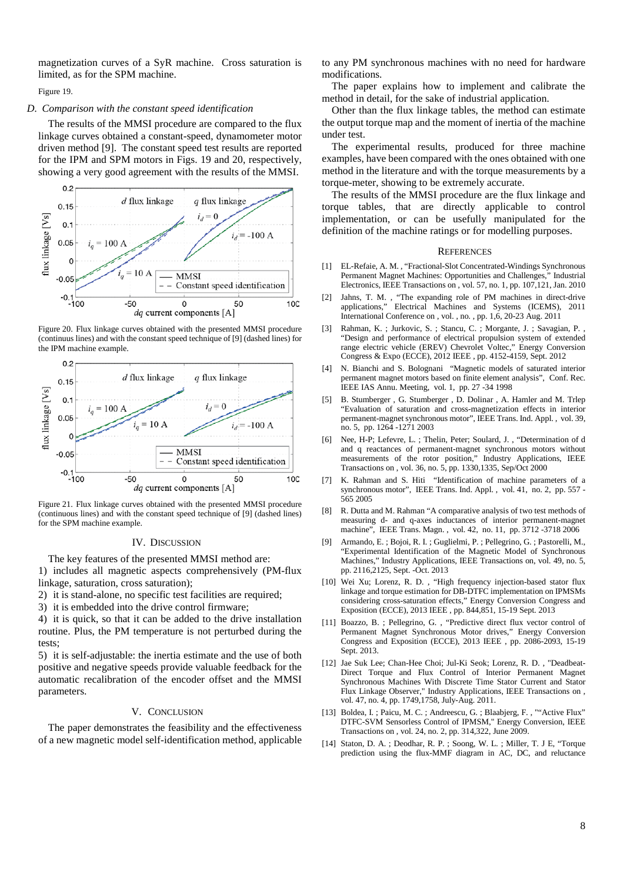magnetization curves of a SyR machine. Cross saturation is limited, as for the SPM machine.

Figure 19.

## *D. Comparison with the constant speed identification*

The results of the MMSI procedure are compared to the flux linkage curves obtained a constant-speed, dynamometer motor driven method [9]. The constant speed test results are reported for the IPM and SPM motors in Figs. 19 and 20, respectively, showing a very good agreement with the results of the MMSI.



Figure 20. Flux linkage curves obtained with the presented MMSI procedure (continuus lines) and with the constant speed technique of [9] (dashed lines) for the IPM machine example.



Figure 21. Flux linkage curves obtained with the presented MMSI procedure (continuous lines) and with the constant speed technique of [9] (dashed lines) for the SPM machine example.

#### IV. DISCUSSION

The key features of the presented MMSI method are: 1) includes all magnetic aspects comprehensively (PM-flux linkage, saturation, cross saturation);

2) it is stand-alone, no specific test facilities are required;

3) it is embedded into the drive control firmware;

4) it is quick, so that it can be added to the drive installation routine. Plus, the PM temperature is not perturbed during the tests;

5) it is self-adjustable: the inertia estimate and the use of both positive and negative speeds provide valuable feedback for the automatic recalibration of the encoder offset and the MMSI parameters.

#### V. CONCLUSION

The paper demonstrates the feasibility and the effectiveness of a new magnetic model self-identification method, applicable to any PM synchronous machines with no need for hardware modifications.

The paper explains how to implement and calibrate the method in detail, for the sake of industrial application.

Other than the flux linkage tables, the method can estimate the output torque map and the moment of inertia of the machine under test.

The experimental results, produced for three machine examples, have been compared with the ones obtained with one method in the literature and with the torque measurements by a torque-meter, showing to be extremely accurate.

The results of the MMSI procedure are the flux linkage and torque tables, that are directly applicable to control implementation, or can be usefully manipulated for the definition of the machine ratings or for modelling purposes.

#### **REFERENCES**

- [1] EL-Refaie, A. M. , "Fractional-Slot Concentrated-Windings Synchronous Permanent Magnet Machines: Opportunities and Challenges," Industrial Electronics, IEEE Transactions on , vol. 57, no. 1, pp. 107,121, Jan. 2010
- [2] Jahns, T. M. , "The expanding role of PM machines in direct-drive applications," Electrical Machines and Systems (ICEMS), 2011 International Conference on , vol. , no. , pp. 1,6, 20-23 Aug. 2011
- [3] Rahman, K. ; Jurkovic, S. ; Stancu, C. ; Morgante, J. ; Savagian, P. "Design and performance of electrical propulsion system of extended range electric vehicle (EREV) Chevrolet Voltec," Energy Conversion Congress & Expo (ECCE), 2012 IEEE , pp. 4152-4159, Sept. 2012
- [4] N. Bianchi and S. Bolognani "Magnetic models of saturated interior permanent magnet motors based on finite element analysis", Conf. Rec. IEEE IAS Annu. Meeting, vol. 1, pp. 27 -34 1998
- [5] B. Stumberger , G. Stumberger , D. Dolinar , A. Hamler and M. Trlep "Evaluation of saturation and cross-magnetization effects in interior permanent-magnet synchronous motor", IEEE Trans. Ind. Appl. , vol. 39, no. 5, pp. 1264 -1271 2003
- Nee, H-P; Lefevre, L. ; Thelin, Peter; Soulard, J., "Determination of d and q reactances of permanent-magnet synchronous motors without measurements of the rotor position," Industry Applications, IEEE Transactions on , vol. 36, no. 5, pp. 1330,1335, Sep/Oct 2000
- [7] K. Rahman and S. Hiti "Identification of machine parameters of a synchronous motor", IEEE Trans. Ind. Appl., vol. 41, no. 2, pp. 557 -565 2005
- [8] R. Dutta and M. Rahman "A comparative analysis of two test methods of measuring d- and q-axes inductances of interior permanent-magnet machine", IEEE Trans. Magn. , vol. 42, no. 11, pp. 3712 -3718 2006
- [9] Armando, E. ; Bojoi, R. I. ; Guglielmi, P. ; Pellegrino, G. ; Pastorelli, M., "Experimental Identification of the Magnetic Model of Synchronous Machines," Industry Applications, IEEE Transactions on, vol. 49, no. 5, pp. 2116,2125, Sept. -Oct. 2013
- [10] Wei Xu; Lorenz, R. D., "High frequency injection-based stator flux linkage and torque estimation for DB-DTFC implementation on IPMSMs considering cross-saturation effects," Energy Conversion Congress and Exposition (ECCE), 2013 IEEE , pp. 844,851, 15-19 Sept. 2013
- [11] Boazzo, B. ; Pellegrino, G. , "Predictive direct flux vector control of Permanent Magnet Synchronous Motor drives," Energy Conversion Congress and Exposition (ECCE), 2013 IEEE , pp. 2086-2093, 15-19 Sept. 2013.
- [12] Jae Suk Lee; Chan-Hee Choi; Jul-Ki Seok; Lorenz, R. D. , "Deadbeat-Direct Torque and Flux Control of Interior Permanent Magnet Synchronous Machines With Discrete Time Stator Current and Stator Flux Linkage Observer," Industry Applications, IEEE Transactions on , vol. 47, no. 4, pp. 1749,1758, July-Aug. 2011.
- [13] Boldea, I. ; Paicu, M. C. ; Andreescu, G. ; Blaabjerg, F. , ""Active Flux" DTFC-SVM Sensorless Control of IPMSM," Energy Conversion, IEEE Transactions on , vol. 24, no. 2, pp. 314,322, June 2009.
- [14] Staton, D. A. ; Deodhar, R. P. ; Soong, W. L. ; Miller, T. J E, "Torque prediction using the flux-MMF diagram in AC, DC, and reluctance